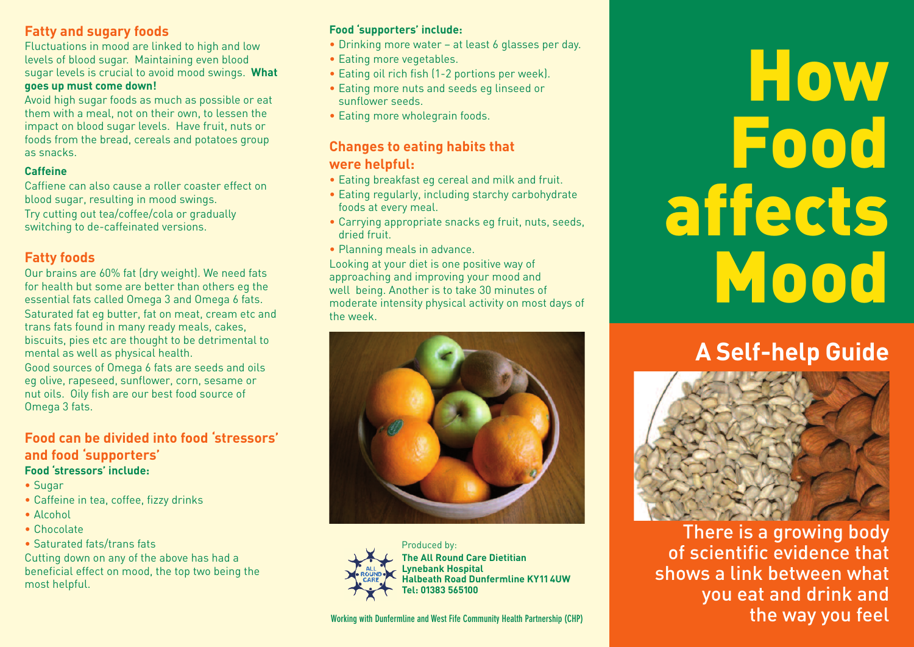# **Fatty and sugary foods**

Fluctuations in mood are linked to high and low levels of blood sugar. Maintaining even blood sugar levels is crucial to avoid mood swings. **What goes up must come down!**

Avoid high sugar foods as much as possible or eat them with a meal, not on their own, to lessen the impact on blood sugar levels. Have fruit, nuts or foods from the bread, cereals and potatoes group as snacks.

#### **Caffeine**

Caffiene can also cause a roller coaster effect on blood sugar, resulting in mood swings. Try cutting out tea/coffee/cola or gradually switching to de-caffeinated versions.

# **Fatty foods**

Our brains are 60% fat (dry weight). We need fats for health but some are better than others eg the essential fats called Omega 3 and Omega 6 fats. Saturated fat eg butter, fat on meat, cream etc and trans fats found in many ready meals, cakes, biscuits, pies etc are thought to be detrimental to mental as well as physical health. Good sources of Omega 6 fats are seeds and oils

eg olive, rapeseed, sunflower, corn, sesame or nut oils. Oily fish are our best food source of Omega 3 fats.

#### **Food can be divided into food 'stressors' and food 'supporters' Food 'stressors' include:**

- 
- Sugar
- Caffeine in tea, coffee, fizzy drinks
- Alcohol
- Chocolate
- Saturated fats/trans fats

Cutting down on any of the above has had a beneficial effect on mood, the top two being the most helpful.

#### **Food 'supporters' include:**

- Drinking more water at least 6 glasses per day.
- Eating more vegetables.
- Eating oil rich fish (1-2 portions per week).
- Eating more nuts and seeds eg linseed or sunflower seeds.
- Eating more wholegrain foods.

# **Changes to eating habits that were helpful:**

- Eating breakfast eg cereal and milk and fruit.
- Eating regularly, including starchy carbohydrate foods at every meal.
- Carrying appropriate snacks eg fruit, nuts, seeds, dried fruit.
- Planning meals in advance.

Looking at your diet is one positive way of approaching and improving your mood and well being. Another is to take 30 minutes of moderate intensity physical activity on most days of the week.





**The All Round Care Dietitian Lynebank Hospital Halbeath Road Dunfermline KY114UW Tel: 01383 565100**

# **How Food affects Mood**

# **A Self-help Guide**



There is a growing body of scientific evidence that shows a link between what you eat and drink and the way you feel